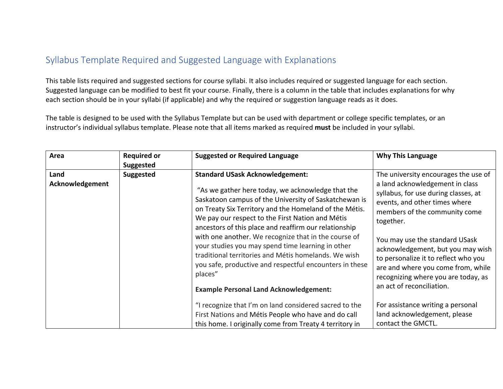## Syllabus Template Required and Suggested Language with Explanations

This table lists required and suggested sections for course syllabi. It also includes required or suggested language for each section. Suggested language can be modified to best fit your course. Finally, there is a column in the table that includes explanations for why each section should be in your syllabi (if applicable) and why the required or suggestion language reads as it does.

The table is designed to be used with the Syllabus Template but can be used with department or college specific templates, or an instructor's individual syllabus template. Please note that all items marked as required **must** be included in your syllabi.

| Area                    | <b>Required or</b><br><b>Suggested</b> | <b>Suggested or Required Language</b>                                                                                                                                                                                                                                                                                                                                                                                                                                                                                                                                                                                   | <b>Why This Language</b>                                                                                                                                                                                                                                                                                                                                                                                                |
|-------------------------|----------------------------------------|-------------------------------------------------------------------------------------------------------------------------------------------------------------------------------------------------------------------------------------------------------------------------------------------------------------------------------------------------------------------------------------------------------------------------------------------------------------------------------------------------------------------------------------------------------------------------------------------------------------------------|-------------------------------------------------------------------------------------------------------------------------------------------------------------------------------------------------------------------------------------------------------------------------------------------------------------------------------------------------------------------------------------------------------------------------|
| Land<br>Acknowledgement | <b>Suggested</b>                       | <b>Standard USask Acknowledgement:</b><br>"As we gather here today, we acknowledge that the<br>Saskatoon campus of the University of Saskatchewan is<br>on Treaty Six Territory and the Homeland of the Métis.<br>We pay our respect to the First Nation and Métis<br>ancestors of this place and reaffirm our relationship<br>with one another. We recognize that in the course of<br>your studies you may spend time learning in other<br>traditional territories and Métis homelands. We wish<br>you safe, productive and respectful encounters in these<br>places"<br><b>Example Personal Land Acknowledgement:</b> | The university encourages the use of<br>a land acknowledgement in class<br>syllabus, for use during classes, at<br>events, and other times where<br>members of the community come<br>together.<br>You may use the standard USask<br>acknowledgement, but you may wish<br>to personalize it to reflect who you<br>are and where you come from, while<br>recognizing where you are today, as<br>an act of reconciliation. |
|                         |                                        | "I recognize that I'm on land considered sacred to the<br>First Nations and Métis People who have and do call<br>this home. I originally come from Treaty 4 territory in                                                                                                                                                                                                                                                                                                                                                                                                                                                | For assistance writing a personal<br>land acknowledgement, please<br>contact the GMCTL.                                                                                                                                                                                                                                                                                                                                 |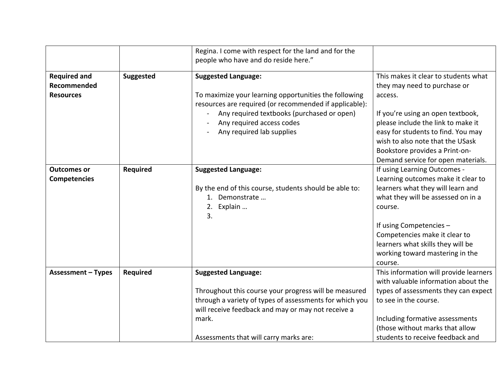|                           |                  | Regina. I come with respect for the land and for the<br>people who have and do reside here."                    |                                        |
|---------------------------|------------------|-----------------------------------------------------------------------------------------------------------------|----------------------------------------|
| <b>Required and</b>       | <b>Suggested</b> | <b>Suggested Language:</b>                                                                                      | This makes it clear to students what   |
| Recommended               |                  |                                                                                                                 | they may need to purchase or           |
| <b>Resources</b>          |                  | To maximize your learning opportunities the following<br>resources are required (or recommended if applicable): | access.                                |
|                           |                  | Any required textbooks (purchased or open)                                                                      | If you're using an open textbook,      |
|                           |                  | Any required access codes                                                                                       | please include the link to make it     |
|                           |                  | Any required lab supplies                                                                                       | easy for students to find. You may     |
|                           |                  |                                                                                                                 | wish to also note that the USask       |
|                           |                  |                                                                                                                 | Bookstore provides a Print-on-         |
|                           |                  |                                                                                                                 | Demand service for open materials.     |
| <b>Outcomes or</b>        | Required         | <b>Suggested Language:</b>                                                                                      | If using Learning Outcomes -           |
| <b>Competencies</b>       |                  |                                                                                                                 | Learning outcomes make it clear to     |
|                           |                  | By the end of this course, students should be able to:                                                          | learners what they will learn and      |
|                           |                  | 1. Demonstrate                                                                                                  | what they will be assessed on in a     |
|                           |                  | 2. Explain                                                                                                      | course.                                |
|                           |                  | 3.                                                                                                              |                                        |
|                           |                  |                                                                                                                 | If using Competencies -                |
|                           |                  |                                                                                                                 | Competencies make it clear to          |
|                           |                  |                                                                                                                 | learners what skills they will be      |
|                           |                  |                                                                                                                 | working toward mastering in the        |
|                           |                  |                                                                                                                 | course.                                |
| <b>Assessment - Types</b> | Required         | <b>Suggested Language:</b>                                                                                      | This information will provide learners |
|                           |                  |                                                                                                                 | with valuable information about the    |
|                           |                  | Throughout this course your progress will be measured                                                           | types of assessments they can expect   |
|                           |                  | through a variety of types of assessments for which you                                                         | to see in the course.                  |
|                           |                  | will receive feedback and may or may not receive a                                                              |                                        |
|                           |                  | mark.                                                                                                           | Including formative assessments        |
|                           |                  |                                                                                                                 | (those without marks that allow        |
|                           |                  | Assessments that will carry marks are:                                                                          | students to receive feedback and       |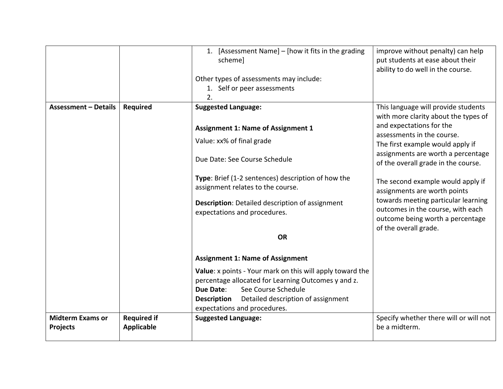|                             |                    | 1. [Assessment Name] - [how it fits in the grading        | improve without penalty) can help                         |
|-----------------------------|--------------------|-----------------------------------------------------------|-----------------------------------------------------------|
|                             |                    | schemel                                                   | put students at ease about their                          |
|                             |                    |                                                           | ability to do well in the course.                         |
|                             |                    | Other types of assessments may include:                   |                                                           |
|                             |                    | 1. Self or peer assessments                               |                                                           |
|                             |                    | 2.                                                        |                                                           |
| <b>Assessment - Details</b> | Required           | <b>Suggested Language:</b>                                | This language will provide students                       |
|                             |                    |                                                           | with more clarity about the types of                      |
|                             |                    | <b>Assignment 1: Name of Assignment 1</b>                 | and expectations for the                                  |
|                             |                    |                                                           | assessments in the course.                                |
|                             |                    | Value: xx% of final grade                                 | The first example would apply if                          |
|                             |                    | Due Date: See Course Schedule                             | assignments are worth a percentage                        |
|                             |                    |                                                           | of the overall grade in the course.                       |
|                             |                    | Type: Brief (1-2 sentences) description of how the        |                                                           |
|                             |                    | assignment relates to the course.                         | The second example would apply if                         |
|                             |                    |                                                           | assignments are worth points                              |
|                             |                    | <b>Description:</b> Detailed description of assignment    | towards meeting particular learning                       |
|                             |                    | expectations and procedures.                              | outcomes in the course, with each                         |
|                             |                    |                                                           | outcome being worth a percentage<br>of the overall grade. |
|                             |                    | <b>OR</b>                                                 |                                                           |
|                             |                    |                                                           |                                                           |
|                             |                    | <b>Assignment 1: Name of Assignment</b>                   |                                                           |
|                             |                    |                                                           |                                                           |
|                             |                    | Value: x points - Your mark on this will apply toward the |                                                           |
|                             |                    | percentage allocated for Learning Outcomes y and z.       |                                                           |
|                             |                    | See Course Schedule<br>Due Date:                          |                                                           |
|                             |                    | Detailed description of assignment<br><b>Description</b>  |                                                           |
|                             |                    | expectations and procedures.                              |                                                           |
| <b>Midterm Exams or</b>     | <b>Required if</b> | <b>Suggested Language:</b>                                | Specify whether there will or will not                    |
| <b>Projects</b>             | <b>Applicable</b>  |                                                           | be a midterm.                                             |
|                             |                    |                                                           |                                                           |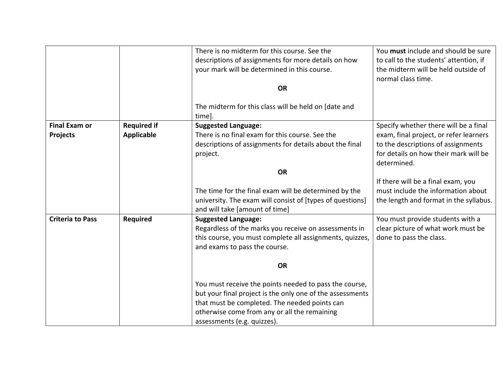|                                         |                                  | There is no midterm for this course. See the<br>descriptions of assignments for more details on how<br>your mark will be determined in this course.                                                                                                 | You must include and should be sure<br>to call to the students' attention, if<br>the midterm will be held outside of<br>normal class time.                                    |
|-----------------------------------------|----------------------------------|-----------------------------------------------------------------------------------------------------------------------------------------------------------------------------------------------------------------------------------------------------|-------------------------------------------------------------------------------------------------------------------------------------------------------------------------------|
|                                         |                                  | <b>OR</b>                                                                                                                                                                                                                                           |                                                                                                                                                                               |
|                                         |                                  | The midterm for this class will be held on [date and<br>time].                                                                                                                                                                                      |                                                                                                                                                                               |
| <b>Final Exam or</b><br><b>Projects</b> | <b>Required if</b><br>Applicable | <b>Suggested Language:</b><br>There is no final exam for this course. See the<br>descriptions of assignments for details about the final<br>project.                                                                                                | Specify whether there will be a final<br>exam, final project, or refer learners<br>to the descriptions of assignments<br>for details on how their mark will be<br>determined. |
|                                         |                                  | <b>OR</b>                                                                                                                                                                                                                                           |                                                                                                                                                                               |
|                                         |                                  | The time for the final exam will be determined by the<br>university. The exam will consist of [types of questions]<br>and will take [amount of time]                                                                                                | If there will be a final exam, you<br>must include the information about<br>the length and format in the syllabus.                                                            |
| <b>Criteria to Pass</b>                 | Required                         | <b>Suggested Language:</b><br>Regardless of the marks you receive on assessments in<br>this course, you must complete all assignments, quizzes,<br>and exams to pass the course.                                                                    | You must provide students with a<br>clear picture of what work must be<br>done to pass the class.                                                                             |
|                                         |                                  | <b>OR</b>                                                                                                                                                                                                                                           |                                                                                                                                                                               |
|                                         |                                  | You must receive the points needed to pass the course,<br>but your final project is the only one of the assessments<br>that must be completed. The needed points can<br>otherwise come from any or all the remaining<br>assessments (e.g. quizzes). |                                                                                                                                                                               |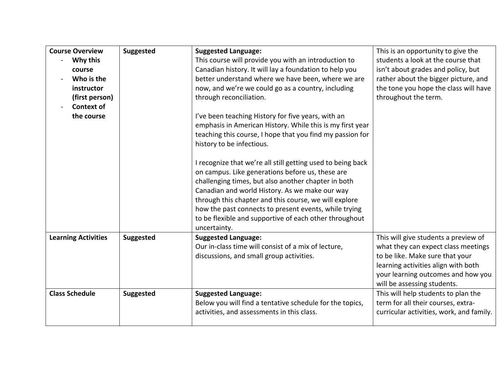| <b>Course Overview</b>     | <b>Suggested</b> | <b>Suggested Language:</b>                                  | This is an opportunity to give the       |
|----------------------------|------------------|-------------------------------------------------------------|------------------------------------------|
| Why this                   |                  | This course will provide you with an introduction to        | students a look at the course that       |
| course                     |                  | Canadian history. It will lay a foundation to help you      | isn't about grades and policy, but       |
| Who is the                 |                  | better understand where we have been, where we are          | rather about the bigger picture, and     |
| instructor                 |                  | now, and we're we could go as a country, including          | the tone you hope the class will have    |
| (first person)             |                  | through reconciliation.                                     | throughout the term.                     |
| <b>Context of</b>          |                  |                                                             |                                          |
| the course                 |                  | I've been teaching History for five years, with an          |                                          |
|                            |                  | emphasis in American History. While this is my first year   |                                          |
|                            |                  | teaching this course, I hope that you find my passion for   |                                          |
|                            |                  | history to be infectious.                                   |                                          |
|                            |                  |                                                             |                                          |
|                            |                  | I recognize that we're all still getting used to being back |                                          |
|                            |                  | on campus. Like generations before us, these are            |                                          |
|                            |                  | challenging times, but also another chapter in both         |                                          |
|                            |                  | Canadian and world History. As we make our way              |                                          |
|                            |                  | through this chapter and this course, we will explore       |                                          |
|                            |                  | how the past connects to present events, while trying       |                                          |
|                            |                  | to be flexible and supportive of each other throughout      |                                          |
|                            |                  | uncertainty.                                                |                                          |
| <b>Learning Activities</b> | <b>Suggested</b> | <b>Suggested Language:</b>                                  | This will give students a preview of     |
|                            |                  | Our in-class time will consist of a mix of lecture,         | what they can expect class meetings      |
|                            |                  | discussions, and small group activities.                    | to be like. Make sure that your          |
|                            |                  |                                                             | learning activities align with both      |
|                            |                  |                                                             | your learning outcomes and how you       |
|                            |                  |                                                             | will be assessing students.              |
| <b>Class Schedule</b>      | <b>Suggested</b> | <b>Suggested Language:</b>                                  | This will help students to plan the      |
|                            |                  | Below you will find a tentative schedule for the topics,    | term for all their courses, extra-       |
|                            |                  | activities, and assessments in this class.                  | curricular activities, work, and family. |
|                            |                  |                                                             |                                          |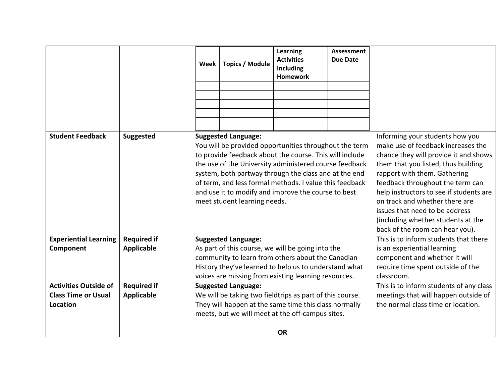|                                        |                    | Week | <b>Topics / Module</b>                                     | <b>Learning</b><br><b>Activities</b><br><b>Including</b><br><b>Homework</b>                                                                                                                                                                                                                                                                            | <b>Assessment</b><br><b>Due Date</b> |                                                                                                                                                                                                                                                                                                                                                                                                                   |
|----------------------------------------|--------------------|------|------------------------------------------------------------|--------------------------------------------------------------------------------------------------------------------------------------------------------------------------------------------------------------------------------------------------------------------------------------------------------------------------------------------------------|--------------------------------------|-------------------------------------------------------------------------------------------------------------------------------------------------------------------------------------------------------------------------------------------------------------------------------------------------------------------------------------------------------------------------------------------------------------------|
| <b>Student Feedback</b>                | <b>Suggested</b>   |      | <b>Suggested Language:</b><br>meet student learning needs. | You will be provided opportunities throughout the term<br>to provide feedback about the course. This will include<br>the use of the University administered course feedback<br>system, both partway through the class and at the end<br>of term, and less formal methods. I value this feedback<br>and use it to modify and improve the course to best |                                      | Informing your students how you<br>make use of feedback increases the<br>chance they will provide it and shows<br>them that you listed, thus building<br>rapport with them. Gathering<br>feedback throughout the term can<br>help instructors to see if students are<br>on track and whether there are<br>issues that need to be address<br>(including whether students at the<br>back of the room can hear you). |
| <b>Experiential Learning</b>           | <b>Required if</b> |      | <b>Suggested Language:</b>                                 |                                                                                                                                                                                                                                                                                                                                                        |                                      | This is to inform students that there                                                                                                                                                                                                                                                                                                                                                                             |
| Component                              | <b>Applicable</b>  |      |                                                            | As part of this course, we will be going into the<br>community to learn from others about the Canadian<br>History they've learned to help us to understand what<br>voices are missing from existing learning resources.                                                                                                                                |                                      | is an experiential learning<br>component and whether it will<br>require time spent outside of the<br>classroom.                                                                                                                                                                                                                                                                                                   |
| <b>Activities Outside of</b>           | <b>Required if</b> |      | <b>Suggested Language:</b>                                 |                                                                                                                                                                                                                                                                                                                                                        |                                      | This is to inform students of any class                                                                                                                                                                                                                                                                                                                                                                           |
| <b>Class Time or Usual</b><br>Location | <b>Applicable</b>  |      |                                                            | We will be taking two fieldtrips as part of this course.<br>They will happen at the same time this class normally<br>meets, but we will meet at the off-campus sites.<br><b>OR</b>                                                                                                                                                                     |                                      | meetings that will happen outside of<br>the normal class time or location.                                                                                                                                                                                                                                                                                                                                        |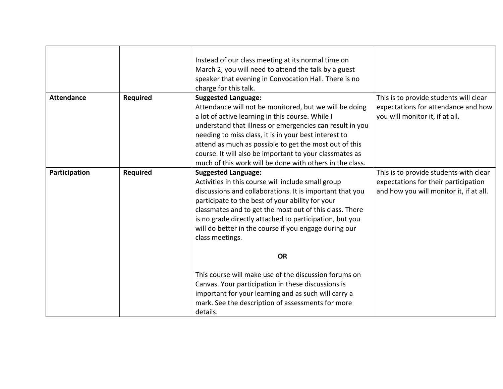|                   |          | Instead of our class meeting at its normal time on<br>March 2, you will need to attend the talk by a guest<br>speaker that evening in Convocation Hall. There is no<br>charge for this talk.                                                                                                                                                                                                                                                   |                                                                                                                           |
|-------------------|----------|------------------------------------------------------------------------------------------------------------------------------------------------------------------------------------------------------------------------------------------------------------------------------------------------------------------------------------------------------------------------------------------------------------------------------------------------|---------------------------------------------------------------------------------------------------------------------------|
| <b>Attendance</b> | Required | <b>Suggested Language:</b><br>Attendance will not be monitored, but we will be doing<br>a lot of active learning in this course. While I<br>understand that illness or emergencies can result in you<br>needing to miss class, it is in your best interest to<br>attend as much as possible to get the most out of this<br>course. It will also be important to your classmates as<br>much of this work will be done with others in the class. | This is to provide students will clear<br>expectations for attendance and how<br>you will monitor it, if at all.          |
| Participation     | Required | <b>Suggested Language:</b><br>Activities in this course will include small group<br>discussions and collaborations. It is important that you<br>participate to the best of your ability for your<br>classmates and to get the most out of this class. There<br>is no grade directly attached to participation, but you<br>will do better in the course if you engage during our<br>class meetings.                                             | This is to provide students with clear<br>expectations for their participation<br>and how you will monitor it, if at all. |
|                   |          | <b>OR</b>                                                                                                                                                                                                                                                                                                                                                                                                                                      |                                                                                                                           |
|                   |          | This course will make use of the discussion forums on<br>Canvas. Your participation in these discussions is<br>important for your learning and as such will carry a<br>mark. See the description of assessments for more<br>details.                                                                                                                                                                                                           |                                                                                                                           |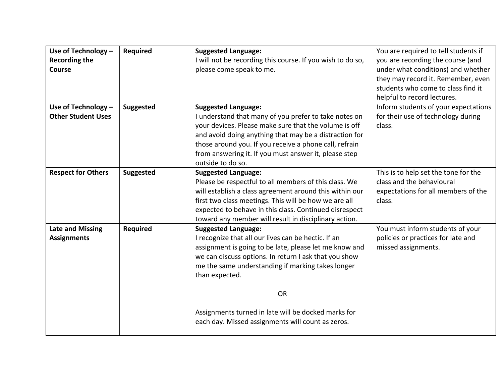| Use of Technology -<br><b>Recording the</b><br><b>Course</b> | <b>Required</b>  | <b>Suggested Language:</b><br>I will not be recording this course. If you wish to do so,<br>please come speak to me.                                                                                                                                                                                                                                                                                 | You are required to tell students if<br>you are recording the course (and<br>under what conditions) and whether<br>they may record it. Remember, even<br>students who come to class find it<br>helpful to record lectures. |
|--------------------------------------------------------------|------------------|------------------------------------------------------------------------------------------------------------------------------------------------------------------------------------------------------------------------------------------------------------------------------------------------------------------------------------------------------------------------------------------------------|----------------------------------------------------------------------------------------------------------------------------------------------------------------------------------------------------------------------------|
| Use of Technology -<br><b>Other Student Uses</b>             | Suggested        | <b>Suggested Language:</b><br>I understand that many of you prefer to take notes on<br>your devices. Please make sure that the volume is off<br>and avoid doing anything that may be a distraction for<br>those around you. If you receive a phone call, refrain<br>from answering it. If you must answer it, please step<br>outside to do so.                                                       | Inform students of your expectations<br>for their use of technology during<br>class.                                                                                                                                       |
| <b>Respect for Others</b>                                    | <b>Suggested</b> | <b>Suggested Language:</b><br>Please be respectful to all members of this class. We<br>will establish a class agreement around this within our<br>first two class meetings. This will be how we are all<br>expected to behave in this class. Continued disrespect<br>toward any member will result in disciplinary action.                                                                           | This is to help set the tone for the<br>class and the behavioural<br>expectations for all members of the<br>class.                                                                                                         |
| <b>Late and Missing</b><br><b>Assignments</b>                | <b>Required</b>  | <b>Suggested Language:</b><br>I recognize that all our lives can be hectic. If an<br>assignment is going to be late, please let me know and<br>we can discuss options. In return I ask that you show<br>me the same understanding if marking takes longer<br>than expected.<br><b>OR</b><br>Assignments turned in late will be docked marks for<br>each day. Missed assignments will count as zeros. | You must inform students of your<br>policies or practices for late and<br>missed assignments.                                                                                                                              |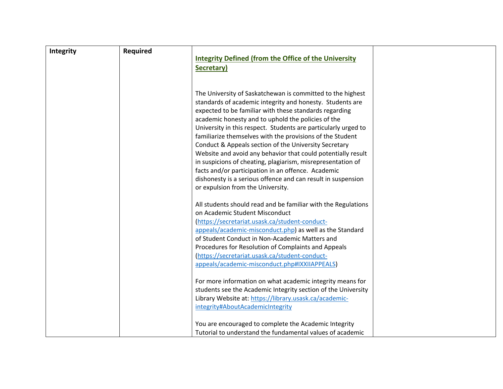| <b>Integrity</b> | <b>Required</b> |                                                                |  |
|------------------|-----------------|----------------------------------------------------------------|--|
|                  |                 | <b>Integrity Defined (from the Office of the University</b>    |  |
|                  |                 | Secretary)                                                     |  |
|                  |                 |                                                                |  |
|                  |                 |                                                                |  |
|                  |                 | The University of Saskatchewan is committed to the highest     |  |
|                  |                 | standards of academic integrity and honesty. Students are      |  |
|                  |                 | expected to be familiar with these standards regarding         |  |
|                  |                 | academic honesty and to uphold the policies of the             |  |
|                  |                 | University in this respect. Students are particularly urged to |  |
|                  |                 | familiarize themselves with the provisions of the Student      |  |
|                  |                 | Conduct & Appeals section of the University Secretary          |  |
|                  |                 | Website and avoid any behavior that could potentially result   |  |
|                  |                 | in suspicions of cheating, plagiarism, misrepresentation of    |  |
|                  |                 | facts and/or participation in an offence. Academic             |  |
|                  |                 | dishonesty is a serious offence and can result in suspension   |  |
|                  |                 | or expulsion from the University.                              |  |
|                  |                 | All students should read and be familiar with the Regulations  |  |
|                  |                 | on Academic Student Misconduct                                 |  |
|                  |                 | (https://secretariat.usask.ca/student-conduct-                 |  |
|                  |                 | appeals/academic-misconduct.php) as well as the Standard       |  |
|                  |                 | of Student Conduct in Non-Academic Matters and                 |  |
|                  |                 | Procedures for Resolution of Complaints and Appeals            |  |
|                  |                 | (https://secretariat.usask.ca/student-conduct-                 |  |
|                  |                 | appeals/academic-misconduct.php#IXXIIAPPEALS)                  |  |
|                  |                 | For more information on what academic integrity means for      |  |
|                  |                 | students see the Academic Integrity section of the University  |  |
|                  |                 | Library Website at: https://library.usask.ca/academic-         |  |
|                  |                 | integrity#AboutAcademicIntegrity                               |  |
|                  |                 |                                                                |  |
|                  |                 | You are encouraged to complete the Academic Integrity          |  |
|                  |                 | Tutorial to understand the fundamental values of academic      |  |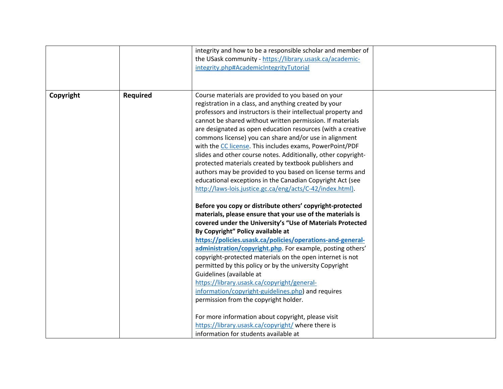| the USask community - https://library.usask.ca/academic-<br>integrity.php#AcademicIntegrityTutorial<br>Course materials are provided to you based on your<br><b>Required</b><br>Copyright<br>registration in a class, and anything created by your<br>professors and instructors is their intellectual property and<br>cannot be shared without written permission. If materials<br>are designated as open education resources (with a creative<br>commons license) you can share and/or use in alignment<br>with the CC license. This includes exams, PowerPoint/PDF<br>slides and other course notes. Additionally, other copyright-<br>protected materials created by textbook publishers and<br>authors may be provided to you based on license terms and<br>educational exceptions in the Canadian Copyright Act (see<br>http://laws-lois.justice.gc.ca/eng/acts/C-42/index.html).<br>Before you copy or distribute others' copyright-protected<br>materials, please ensure that your use of the materials is<br>covered under the University's "Use of Materials Protected<br>By Copyright" Policy available at<br>https://policies.usask.ca/policies/operations-and-general-<br>administration/copyright.php. For example, posting others'<br>copyright-protected materials on the open internet is not<br>permitted by this policy or by the university Copyright<br>Guidelines (available at |  | integrity and how to be a responsible scholar and member of |  |
|-------------------------------------------------------------------------------------------------------------------------------------------------------------------------------------------------------------------------------------------------------------------------------------------------------------------------------------------------------------------------------------------------------------------------------------------------------------------------------------------------------------------------------------------------------------------------------------------------------------------------------------------------------------------------------------------------------------------------------------------------------------------------------------------------------------------------------------------------------------------------------------------------------------------------------------------------------------------------------------------------------------------------------------------------------------------------------------------------------------------------------------------------------------------------------------------------------------------------------------------------------------------------------------------------------------------------------------------------------------------------------------------------------|--|-------------------------------------------------------------|--|
|                                                                                                                                                                                                                                                                                                                                                                                                                                                                                                                                                                                                                                                                                                                                                                                                                                                                                                                                                                                                                                                                                                                                                                                                                                                                                                                                                                                                       |  |                                                             |  |
|                                                                                                                                                                                                                                                                                                                                                                                                                                                                                                                                                                                                                                                                                                                                                                                                                                                                                                                                                                                                                                                                                                                                                                                                                                                                                                                                                                                                       |  |                                                             |  |
|                                                                                                                                                                                                                                                                                                                                                                                                                                                                                                                                                                                                                                                                                                                                                                                                                                                                                                                                                                                                                                                                                                                                                                                                                                                                                                                                                                                                       |  |                                                             |  |
|                                                                                                                                                                                                                                                                                                                                                                                                                                                                                                                                                                                                                                                                                                                                                                                                                                                                                                                                                                                                                                                                                                                                                                                                                                                                                                                                                                                                       |  |                                                             |  |
|                                                                                                                                                                                                                                                                                                                                                                                                                                                                                                                                                                                                                                                                                                                                                                                                                                                                                                                                                                                                                                                                                                                                                                                                                                                                                                                                                                                                       |  |                                                             |  |
|                                                                                                                                                                                                                                                                                                                                                                                                                                                                                                                                                                                                                                                                                                                                                                                                                                                                                                                                                                                                                                                                                                                                                                                                                                                                                                                                                                                                       |  |                                                             |  |
|                                                                                                                                                                                                                                                                                                                                                                                                                                                                                                                                                                                                                                                                                                                                                                                                                                                                                                                                                                                                                                                                                                                                                                                                                                                                                                                                                                                                       |  |                                                             |  |
|                                                                                                                                                                                                                                                                                                                                                                                                                                                                                                                                                                                                                                                                                                                                                                                                                                                                                                                                                                                                                                                                                                                                                                                                                                                                                                                                                                                                       |  |                                                             |  |
|                                                                                                                                                                                                                                                                                                                                                                                                                                                                                                                                                                                                                                                                                                                                                                                                                                                                                                                                                                                                                                                                                                                                                                                                                                                                                                                                                                                                       |  |                                                             |  |
|                                                                                                                                                                                                                                                                                                                                                                                                                                                                                                                                                                                                                                                                                                                                                                                                                                                                                                                                                                                                                                                                                                                                                                                                                                                                                                                                                                                                       |  |                                                             |  |
|                                                                                                                                                                                                                                                                                                                                                                                                                                                                                                                                                                                                                                                                                                                                                                                                                                                                                                                                                                                                                                                                                                                                                                                                                                                                                                                                                                                                       |  |                                                             |  |
|                                                                                                                                                                                                                                                                                                                                                                                                                                                                                                                                                                                                                                                                                                                                                                                                                                                                                                                                                                                                                                                                                                                                                                                                                                                                                                                                                                                                       |  |                                                             |  |
|                                                                                                                                                                                                                                                                                                                                                                                                                                                                                                                                                                                                                                                                                                                                                                                                                                                                                                                                                                                                                                                                                                                                                                                                                                                                                                                                                                                                       |  |                                                             |  |
|                                                                                                                                                                                                                                                                                                                                                                                                                                                                                                                                                                                                                                                                                                                                                                                                                                                                                                                                                                                                                                                                                                                                                                                                                                                                                                                                                                                                       |  |                                                             |  |
|                                                                                                                                                                                                                                                                                                                                                                                                                                                                                                                                                                                                                                                                                                                                                                                                                                                                                                                                                                                                                                                                                                                                                                                                                                                                                                                                                                                                       |  |                                                             |  |
|                                                                                                                                                                                                                                                                                                                                                                                                                                                                                                                                                                                                                                                                                                                                                                                                                                                                                                                                                                                                                                                                                                                                                                                                                                                                                                                                                                                                       |  |                                                             |  |
|                                                                                                                                                                                                                                                                                                                                                                                                                                                                                                                                                                                                                                                                                                                                                                                                                                                                                                                                                                                                                                                                                                                                                                                                                                                                                                                                                                                                       |  |                                                             |  |
|                                                                                                                                                                                                                                                                                                                                                                                                                                                                                                                                                                                                                                                                                                                                                                                                                                                                                                                                                                                                                                                                                                                                                                                                                                                                                                                                                                                                       |  |                                                             |  |
|                                                                                                                                                                                                                                                                                                                                                                                                                                                                                                                                                                                                                                                                                                                                                                                                                                                                                                                                                                                                                                                                                                                                                                                                                                                                                                                                                                                                       |  |                                                             |  |
|                                                                                                                                                                                                                                                                                                                                                                                                                                                                                                                                                                                                                                                                                                                                                                                                                                                                                                                                                                                                                                                                                                                                                                                                                                                                                                                                                                                                       |  |                                                             |  |
|                                                                                                                                                                                                                                                                                                                                                                                                                                                                                                                                                                                                                                                                                                                                                                                                                                                                                                                                                                                                                                                                                                                                                                                                                                                                                                                                                                                                       |  |                                                             |  |
|                                                                                                                                                                                                                                                                                                                                                                                                                                                                                                                                                                                                                                                                                                                                                                                                                                                                                                                                                                                                                                                                                                                                                                                                                                                                                                                                                                                                       |  |                                                             |  |
|                                                                                                                                                                                                                                                                                                                                                                                                                                                                                                                                                                                                                                                                                                                                                                                                                                                                                                                                                                                                                                                                                                                                                                                                                                                                                                                                                                                                       |  |                                                             |  |
|                                                                                                                                                                                                                                                                                                                                                                                                                                                                                                                                                                                                                                                                                                                                                                                                                                                                                                                                                                                                                                                                                                                                                                                                                                                                                                                                                                                                       |  |                                                             |  |
|                                                                                                                                                                                                                                                                                                                                                                                                                                                                                                                                                                                                                                                                                                                                                                                                                                                                                                                                                                                                                                                                                                                                                                                                                                                                                                                                                                                                       |  |                                                             |  |
|                                                                                                                                                                                                                                                                                                                                                                                                                                                                                                                                                                                                                                                                                                                                                                                                                                                                                                                                                                                                                                                                                                                                                                                                                                                                                                                                                                                                       |  |                                                             |  |
| https://library.usask.ca/copyright/general-                                                                                                                                                                                                                                                                                                                                                                                                                                                                                                                                                                                                                                                                                                                                                                                                                                                                                                                                                                                                                                                                                                                                                                                                                                                                                                                                                           |  |                                                             |  |
| information/copyright-guidelines.php) and requires                                                                                                                                                                                                                                                                                                                                                                                                                                                                                                                                                                                                                                                                                                                                                                                                                                                                                                                                                                                                                                                                                                                                                                                                                                                                                                                                                    |  |                                                             |  |
| permission from the copyright holder.                                                                                                                                                                                                                                                                                                                                                                                                                                                                                                                                                                                                                                                                                                                                                                                                                                                                                                                                                                                                                                                                                                                                                                                                                                                                                                                                                                 |  |                                                             |  |
| For more information about copyright, please visit                                                                                                                                                                                                                                                                                                                                                                                                                                                                                                                                                                                                                                                                                                                                                                                                                                                                                                                                                                                                                                                                                                                                                                                                                                                                                                                                                    |  |                                                             |  |
| https://library.usask.ca/copyright/ where there is                                                                                                                                                                                                                                                                                                                                                                                                                                                                                                                                                                                                                                                                                                                                                                                                                                                                                                                                                                                                                                                                                                                                                                                                                                                                                                                                                    |  |                                                             |  |
| information for students available at                                                                                                                                                                                                                                                                                                                                                                                                                                                                                                                                                                                                                                                                                                                                                                                                                                                                                                                                                                                                                                                                                                                                                                                                                                                                                                                                                                 |  |                                                             |  |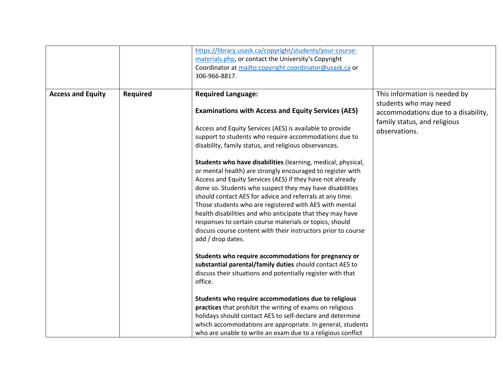|                          |          | https://library.usask.ca/copyright/students/your-course-<br>materials.php, or contact the University's Copyright<br>Coordinator at mailto:copyright.coordinator@usask.ca or<br>306-966-8817.                                                                                                                                                                                                                                                                                                                                                                                                                                                                                                                                                                              |                                                                                                                                                |
|--------------------------|----------|---------------------------------------------------------------------------------------------------------------------------------------------------------------------------------------------------------------------------------------------------------------------------------------------------------------------------------------------------------------------------------------------------------------------------------------------------------------------------------------------------------------------------------------------------------------------------------------------------------------------------------------------------------------------------------------------------------------------------------------------------------------------------|------------------------------------------------------------------------------------------------------------------------------------------------|
| <b>Access and Equity</b> | Required | <b>Required Language:</b><br><b>Examinations with Access and Equity Services (AES)</b><br>Access and Equity Services (AES) is available to provide<br>support to students who require accommodations due to<br>disability, family status, and religious observances.<br>Students who have disabilities (learning, medical, physical,<br>or mental health) are strongly encouraged to register with<br>Access and Equity Services (AES) if they have not already<br>done so. Students who suspect they may have disabilities<br>should contact AES for advice and referrals at any time.<br>Those students who are registered with AES with mental<br>health disabilities and who anticipate that they may have<br>responses to certain course materials or topics, should | This information is needed by<br>students who may need<br>accommodations due to a disability,<br>family status, and religious<br>observations. |
|                          |          | discuss course content with their instructors prior to course<br>add / drop dates.<br>Students who require accommodations for pregnancy or<br>substantial parental/family duties should contact AES to<br>discuss their situations and potentially register with that<br>office.<br>Students who require accommodations due to religious<br>practices that prohibit the writing of exams on religious<br>holidays should contact AES to self-declare and determine<br>which accommodations are appropriate. In general, students<br>who are unable to write an exam due to a religious conflict                                                                                                                                                                           |                                                                                                                                                |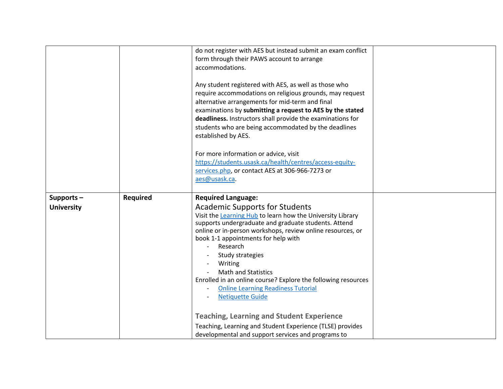|                                   |                 | do not register with AES but instead submit an exam conflict<br>form through their PAWS account to arrange<br>accommodations.<br>Any student registered with AES, as well as those who<br>require accommodations on religious grounds, may request<br>alternative arrangements for mid-term and final<br>examinations by submitting a request to AES by the stated<br>deadliness. Instructors shall provide the examinations for<br>students who are being accommodated by the deadlines<br>established by AES.<br>For more information or advice, visit<br>https://students.usask.ca/health/centres/access-equity-<br>services.php, or contact AES at 306-966-7273 or<br>aes@usask.ca. |  |
|-----------------------------------|-----------------|-----------------------------------------------------------------------------------------------------------------------------------------------------------------------------------------------------------------------------------------------------------------------------------------------------------------------------------------------------------------------------------------------------------------------------------------------------------------------------------------------------------------------------------------------------------------------------------------------------------------------------------------------------------------------------------------|--|
| Supports $-$<br><b>University</b> | <b>Required</b> | <b>Required Language:</b><br><b>Academic Supports for Students</b><br>Visit the Learning Hub to learn how the University Library<br>supports undergraduate and graduate students. Attend<br>online or in-person workshops, review online resources, or                                                                                                                                                                                                                                                                                                                                                                                                                                  |  |
|                                   |                 | book 1-1 appointments for help with<br>Research<br>Study strategies                                                                                                                                                                                                                                                                                                                                                                                                                                                                                                                                                                                                                     |  |
|                                   |                 | Writing<br><b>Math and Statistics</b><br>Enrolled in an online course? Explore the following resources                                                                                                                                                                                                                                                                                                                                                                                                                                                                                                                                                                                  |  |
|                                   |                 | <b>Online Learning Readiness Tutorial</b><br><b>Netiquette Guide</b>                                                                                                                                                                                                                                                                                                                                                                                                                                                                                                                                                                                                                    |  |
|                                   |                 | <b>Teaching, Learning and Student Experience</b>                                                                                                                                                                                                                                                                                                                                                                                                                                                                                                                                                                                                                                        |  |
|                                   |                 | Teaching, Learning and Student Experience (TLSE) provides                                                                                                                                                                                                                                                                                                                                                                                                                                                                                                                                                                                                                               |  |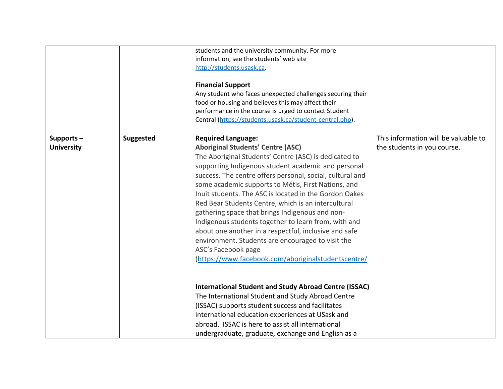|                                |                  | students and the university community. For more<br>information, see the students' web site<br>http://students.usask.ca.<br><b>Financial Support</b><br>Any student who faces unexpected challenges securing their<br>food or housing and believes this may affect their<br>performance in the course is urged to contact Student<br>Central (https://students.usask.ca/student-central.php).                                                                                                                                                                                                                                                                                                                                                                                                                                                                                                                                                                                                                                                                              |                                                                     |
|--------------------------------|------------------|---------------------------------------------------------------------------------------------------------------------------------------------------------------------------------------------------------------------------------------------------------------------------------------------------------------------------------------------------------------------------------------------------------------------------------------------------------------------------------------------------------------------------------------------------------------------------------------------------------------------------------------------------------------------------------------------------------------------------------------------------------------------------------------------------------------------------------------------------------------------------------------------------------------------------------------------------------------------------------------------------------------------------------------------------------------------------|---------------------------------------------------------------------|
| Supports-<br><b>University</b> | <b>Suggested</b> | <b>Required Language:</b><br><b>Aboriginal Students' Centre (ASC)</b><br>The Aboriginal Students' Centre (ASC) is dedicated to<br>supporting Indigenous student academic and personal<br>success. The centre offers personal, social, cultural and<br>some academic supports to Métis, First Nations, and<br>Inuit students. The ASC is located in the Gordon Oakes<br>Red Bear Students Centre, which is an intercultural<br>gathering space that brings Indigenous and non-<br>Indigenous students together to learn from, with and<br>about one another in a respectful, inclusive and safe<br>environment. Students are encouraged to visit the<br>ASC's Facebook page<br>(https://www.facebook.com/aboriginalstudentscentre/<br><b>International Student and Study Abroad Centre (ISSAC)</b><br>The International Student and Study Abroad Centre<br>(ISSAC) supports student success and facilitates<br>international education experiences at USask and<br>abroad. ISSAC is here to assist all international<br>undergraduate, graduate, exchange and English as a | This information will be valuable to<br>the students in you course. |